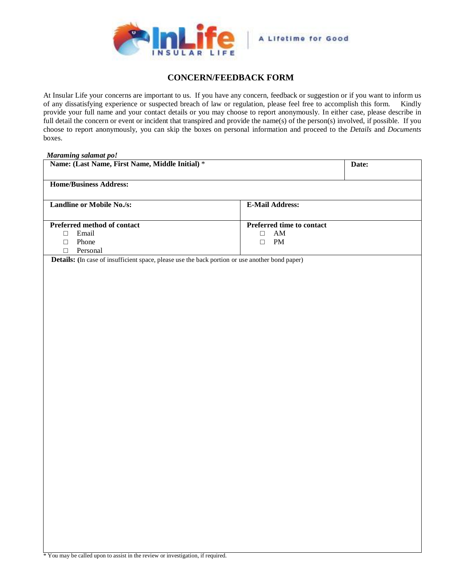

## **CONCERN/FEEDBACK FORM**

At Insular Life your concerns are important to us. If you have any concern, feedback or suggestion or if you want to inform us of any dissatisfying experience or suspected breach of law or regulation, please feel free to accomplish this form. Kindly provide your full name and your contact details or you may choose to report anonymously. In either case, please describe in full detail the concern or event or incident that transpired and provide the name(s) of the person(s) involved, if possible. If you choose to report anonymously, you can skip the boxes on personal information and proceed to the *Details* and *Documents* boxes.

| <b>Maraming salamat po!</b><br>Name: (Last Name, First Name, Middle Initial) *                  | Date:                     |  |
|-------------------------------------------------------------------------------------------------|---------------------------|--|
| <b>Home/Business Address:</b>                                                                   |                           |  |
| <b>Landline or Mobile No./s:</b>                                                                | <b>E-Mail Address:</b>    |  |
| Preferred method of contact                                                                     | Preferred time to contact |  |
| Email<br>$\Box$                                                                                 | AM<br>$\Box$              |  |
| Phone<br>$\Box$                                                                                 | PM<br>$\Box$              |  |
| Personal<br>$\Box$                                                                              |                           |  |
| Details: (In case of insufficient space, please use the back portion or use another bond paper) |                           |  |
|                                                                                                 |                           |  |
|                                                                                                 |                           |  |
|                                                                                                 |                           |  |
|                                                                                                 |                           |  |
|                                                                                                 |                           |  |
|                                                                                                 |                           |  |
|                                                                                                 |                           |  |
|                                                                                                 |                           |  |
|                                                                                                 |                           |  |
|                                                                                                 |                           |  |
|                                                                                                 |                           |  |
|                                                                                                 |                           |  |
|                                                                                                 |                           |  |
|                                                                                                 |                           |  |
|                                                                                                 |                           |  |
|                                                                                                 |                           |  |
|                                                                                                 |                           |  |
|                                                                                                 |                           |  |
|                                                                                                 |                           |  |
|                                                                                                 |                           |  |
|                                                                                                 |                           |  |
|                                                                                                 |                           |  |
|                                                                                                 |                           |  |
|                                                                                                 |                           |  |
|                                                                                                 |                           |  |
|                                                                                                 |                           |  |
|                                                                                                 |                           |  |
|                                                                                                 |                           |  |
|                                                                                                 |                           |  |
|                                                                                                 |                           |  |
|                                                                                                 |                           |  |